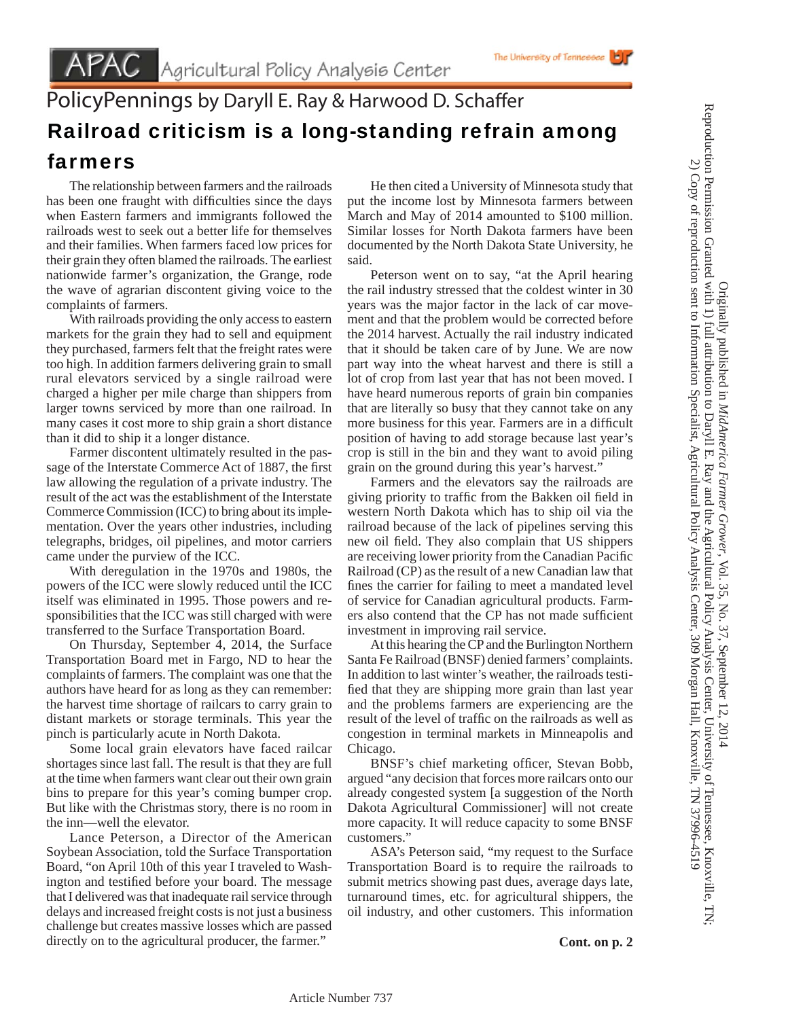## The University of Tennessee

## PolicyPennings by Daryll E. Ray & Harwood D. Schaffer Railroad criticism is a long-standing refrain among farmers

 The relationship between farmers and the railroads has been one fraught with difficulties since the days when Eastern farmers and immigrants followed the railroads west to seek out a better life for themselves and their families. When farmers faced low prices for their grain they often blamed the railroads. The earliest nationwide farmer's organization, the Grange, rode the wave of agrarian discontent giving voice to the complaints of farmers.

 With railroads providing the only access to eastern markets for the grain they had to sell and equipment they purchased, farmers felt that the freight rates were too high. In addition farmers delivering grain to small rural elevators serviced by a single railroad were charged a higher per mile charge than shippers from larger towns serviced by more than one railroad. In many cases it cost more to ship grain a short distance than it did to ship it a longer distance.

 Farmer discontent ultimately resulted in the passage of the Interstate Commerce Act of 1887, the first law allowing the regulation of a private industry. The result of the act was the establishment of the Interstate Commerce Commission (ICC) to bring about its implementation. Over the years other industries, including telegraphs, bridges, oil pipelines, and motor carriers came under the purview of the ICC.

 With deregulation in the 1970s and 1980s, the powers of the ICC were slowly reduced until the ICC itself was eliminated in 1995. Those powers and responsibilities that the ICC was still charged with were transferred to the Surface Transportation Board.

 On Thursday, September 4, 2014, the Surface Transportation Board met in Fargo, ND to hear the complaints of farmers. The complaint was one that the authors have heard for as long as they can remember: the harvest time shortage of railcars to carry grain to distant markets or storage terminals. This year the pinch is particularly acute in North Dakota.

 Some local grain elevators have faced railcar shortages since last fall. The result is that they are full at the time when farmers want clear out their own grain bins to prepare for this year's coming bumper crop. But like with the Christmas story, there is no room in the inn—well the elevator.

 Lance Peterson, a Director of the American Soybean Association, told the Surface Transportation Board, "on April 10th of this year I traveled to Washington and testified before your board. The message that I delivered was that inadequate rail service through delays and increased freight costs is not just a business challenge but creates massive losses which are passed directly on to the agricultural producer, the farmer."

 He then cited a University of Minnesota study that put the income lost by Minnesota farmers between March and May of 2014 amounted to \$100 million. Similar losses for North Dakota farmers have been documented by the North Dakota State University, he said.

 Peterson went on to say, "at the April hearing the rail industry stressed that the coldest winter in 30 years was the major factor in the lack of car movement and that the problem would be corrected before the 2014 harvest. Actually the rail industry indicated that it should be taken care of by June. We are now part way into the wheat harvest and there is still a lot of crop from last year that has not been moved. I have heard numerous reports of grain bin companies that are literally so busy that they cannot take on any more business for this year. Farmers are in a difficult position of having to add storage because last year's crop is still in the bin and they want to avoid piling grain on the ground during this year's harvest."

 Farmers and the elevators say the railroads are giving priority to traffic from the Bakken oil field in western North Dakota which has to ship oil via the railroad because of the lack of pipelines serving this new oil field. They also complain that US shippers are receiving lower priority from the Canadian Pacific Railroad (CP) as the result of a new Canadian law that fines the carrier for failing to meet a mandated level of service for Canadian agricultural products. Farmers also contend that the CP has not made sufficient investment in improving rail service.

 At this hearing the CP and the Burlington Northern Santa Fe Railroad (BNSF) denied farmers' complaints. In addition to last winter's weather, the railroads testified that they are shipping more grain than last year and the problems farmers are experiencing are the result of the level of traffic on the railroads as well as congestion in terminal markets in Minneapolis and Chicago.

BNSF's chief marketing officer, Stevan Bobb, argued "any decision that forces more railcars onto our already congested system [a suggestion of the North Dakota Agricultural Commissioner] will not create more capacity. It will reduce capacity to some BNSF customers."

 ASA's Peterson said, "my request to the Surface Transportation Board is to require the railroads to submit metrics showing past dues, average days late, turnaround times, etc. for agricultural shippers, the oil industry, and other customers. This information